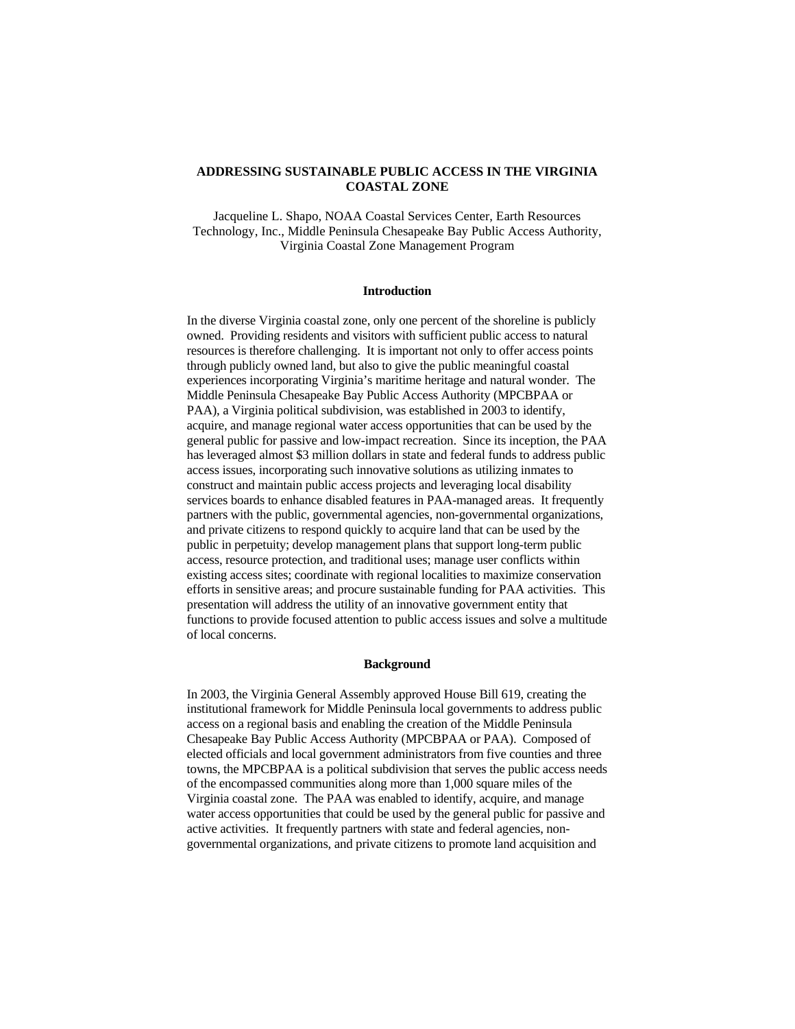# **ADDRESSING SUSTAINABLE PUBLIC ACCESS IN THE VIRGINIA COASTAL ZONE**

Jacqueline L. Shapo, NOAA Coastal Services Center, Earth Resources Technology, Inc., Middle Peninsula Chesapeake Bay Public Access Authority, Virginia Coastal Zone Management Program

# **Introduction**

In the diverse Virginia coastal zone, only one percent of the shoreline is publicly owned. Providing residents and visitors with sufficient public access to natural resources is therefore challenging. It is important not only to offer access points through publicly owned land, but also to give the public meaningful coastal experiences incorporating Virginia's maritime heritage and natural wonder. The Middle Peninsula Chesapeake Bay Public Access Authority (MPCBPAA or PAA), a Virginia political subdivision, was established in 2003 to identify, acquire, and manage regional water access opportunities that can be used by the general public for passive and low-impact recreation. Since its inception, the PAA has leveraged almost \$3 million dollars in state and federal funds to address public access issues, incorporating such innovative solutions as utilizing inmates to construct and maintain public access projects and leveraging local disability services boards to enhance disabled features in PAA-managed areas. It frequently partners with the public, governmental agencies, non-governmental organizations, and private citizens to respond quickly to acquire land that can be used by the public in perpetuity; develop management plans that support long-term public access, resource protection, and traditional uses; manage user conflicts within existing access sites; coordinate with regional localities to maximize conservation efforts in sensitive areas; and procure sustainable funding for PAA activities. This presentation will address the utility of an innovative government entity that functions to provide focused attention to public access issues and solve a multitude of local concerns.

# **Background**

In 2003, the Virginia General Assembly approved House Bill 619, creating the institutional framework for Middle Peninsula local governments to address public access on a regional basis and enabling the creation of the Middle Peninsula Chesapeake Bay Public Access Authority (MPCBPAA or PAA). Composed of elected officials and local government administrators from five counties and three towns, the MPCBPAA is a political subdivision that serves the public access needs of the encompassed communities along more than 1,000 square miles of the Virginia coastal zone. The PAA was enabled to identify, acquire, and manage water access opportunities that could be used by the general public for passive and active activities. It frequently partners with state and federal agencies, nongovernmental organizations, and private citizens to promote land acquisition and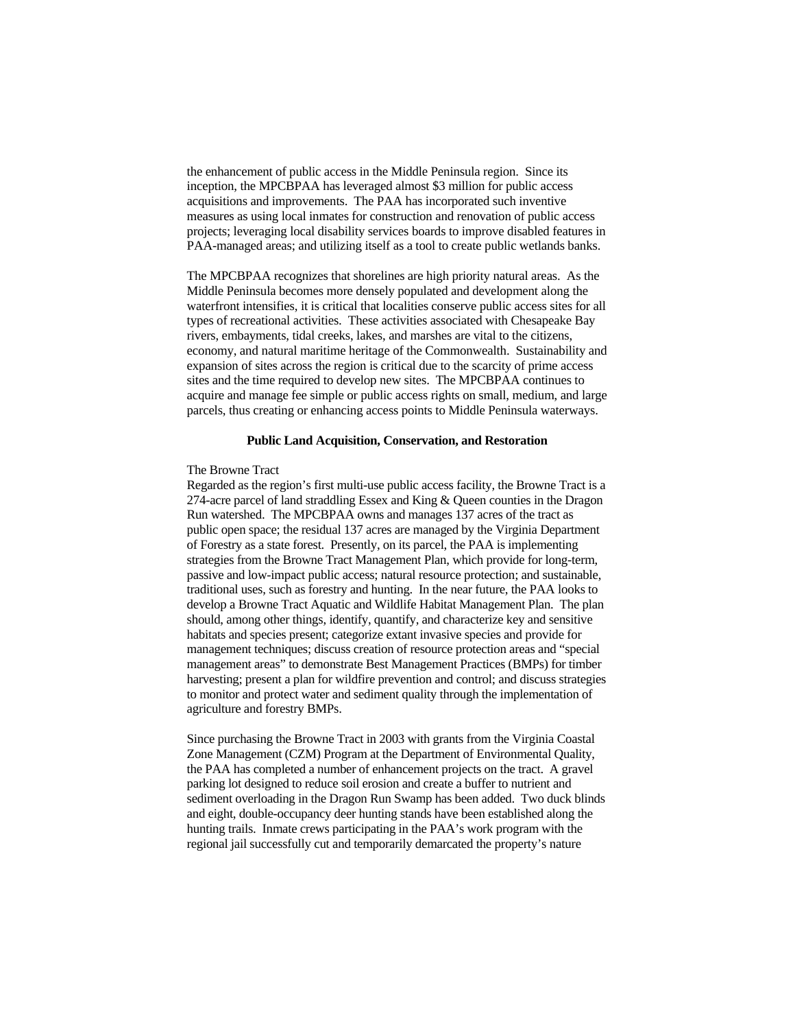the enhancement of public access in the Middle Peninsula region. Since its inception, the MPCBPAA has leveraged almost \$3 million for public access acquisitions and improvements. The PAA has incorporated such inventive measures as using local inmates for construction and renovation of public access projects; leveraging local disability services boards to improve disabled features in PAA-managed areas; and utilizing itself as a tool to create public wetlands banks.

The MPCBPAA recognizes that shorelines are high priority natural areas. As the Middle Peninsula becomes more densely populated and development along the waterfront intensifies, it is critical that localities conserve public access sites for all types of recreational activities. These activities associated with Chesapeake Bay rivers, embayments, tidal creeks, lakes, and marshes are vital to the citizens, economy, and natural maritime heritage of the Commonwealth. Sustainability and expansion of sites across the region is critical due to the scarcity of prime access sites and the time required to develop new sites. The MPCBPAA continues to acquire and manage fee simple or public access rights on small, medium, and large parcels, thus creating or enhancing access points to Middle Peninsula waterways.

## **Public Land Acquisition, Conservation, and Restoration**

#### The Browne Tract

Regarded as the region's first multi-use public access facility, the Browne Tract is a 274-acre parcel of land straddling Essex and King & Queen counties in the Dragon Run watershed. The MPCBPAA owns and manages 137 acres of the tract as public open space; the residual 137 acres are managed by the Virginia Department of Forestry as a state forest. Presently, on its parcel, the PAA is implementing strategies from the Browne Tract Management Plan, which provide for long-term, passive and low-impact public access; natural resource protection; and sustainable, traditional uses, such as forestry and hunting. In the near future, the PAA looks to develop a Browne Tract Aquatic and Wildlife Habitat Management Plan. The plan should, among other things, identify, quantify, and characterize key and sensitive habitats and species present; categorize extant invasive species and provide for management techniques; discuss creation of resource protection areas and "special management areas" to demonstrate Best Management Practices (BMPs) for timber harvesting; present a plan for wildfire prevention and control; and discuss strategies to monitor and protect water and sediment quality through the implementation of agriculture and forestry BMPs.

Since purchasing the Browne Tract in 2003 with grants from the Virginia Coastal Zone Management (CZM) Program at the Department of Environmental Quality, the PAA has completed a number of enhancement projects on the tract. A gravel parking lot designed to reduce soil erosion and create a buffer to nutrient and sediment overloading in the Dragon Run Swamp has been added. Two duck blinds and eight, double-occupancy deer hunting stands have been established along the hunting trails. Inmate crews participating in the PAA's work program with the regional jail successfully cut and temporarily demarcated the property's nature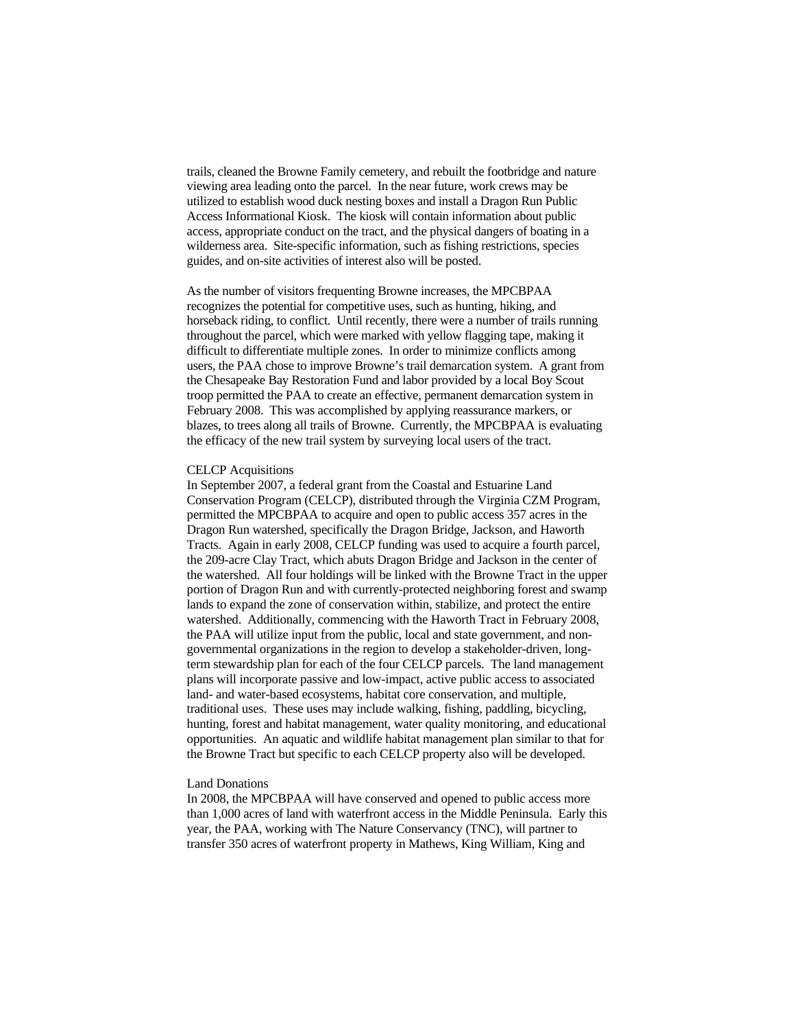trails, cleaned the Browne Family cemetery, and rebuilt the footbridge and nature viewing area leading onto the parcel. In the near future, work crews may be utilized to establish wood duck nesting boxes and install a Dragon Run Public Access Informational Kiosk. The kiosk will contain information about public access, appropriate conduct on the tract, and the physical dangers of boating in a wilderness area. Site-specific information, such as fishing restrictions, species guides, and on-site activities of interest also will be posted.

As the number of visitors frequenting Browne increases, the MPCBPAA recognizes the potential for competitive uses, such as hunting, hiking, and horseback riding, to conflict. Until recently, there were a number of trails running throughout the parcel, which were marked with yellow flagging tape, making it difficult to differentiate multiple zones. In order to minimize conflicts among users, the PAA chose to improve Browne's trail demarcation system. A grant from the Chesapeake Bay Restoration Fund and labor provided by a local Boy Scout troop permitted the PAA to create an effective, permanent demarcation system in February 2008. This was accomplished by applying reassurance markers, or blazes, to trees along all trails of Browne. Currently, the MPCBPAA is evaluating the efficacy of the new trail system by surveying local users of the tract.

# CELCP Acquisitions

In September 2007, a federal grant from the Coastal and Estuarine Land Conservation Program (CELCP), distributed through the Virginia CZM Program, permitted the MPCBPAA to acquire and open to public access 357 acres in the Dragon Run watershed, specifically the Dragon Bridge, Jackson, and Haworth Tracts. Again in early 2008, CELCP funding was used to acquire a fourth parcel, the 209-acre Clay Tract, which abuts Dragon Bridge and Jackson in the center of the watershed. All four holdings will be linked with the Browne Tract in the upper portion of Dragon Run and with currently-protected neighboring forest and swamp lands to expand the zone of conservation within, stabilize, and protect the entire watershed. Additionally, commencing with the Haworth Tract in February 2008, the PAA will utilize input from the public, local and state government, and nongovernmental organizations in the region to develop a stakeholder-driven, longterm stewardship plan for each of the four CELCP parcels. The land management plans will incorporate passive and low-impact, active public access to associated land- and water-based ecosystems, habitat core conservation, and multiple, traditional uses. These uses may include walking, fishing, paddling, bicycling, hunting, forest and habitat management, water quality monitoring, and educational opportunities. An aquatic and wildlife habitat management plan similar to that for the Browne Tract but specific to each CELCP property also will be developed.

## Land Donations

In 2008, the MPCBPAA will have conserved and opened to public access more than 1,000 acres of land with waterfront access in the Middle Peninsula. Early this year, the PAA, working with The Nature Conservancy (TNC), will partner to transfer 350 acres of waterfront property in Mathews, King William, King and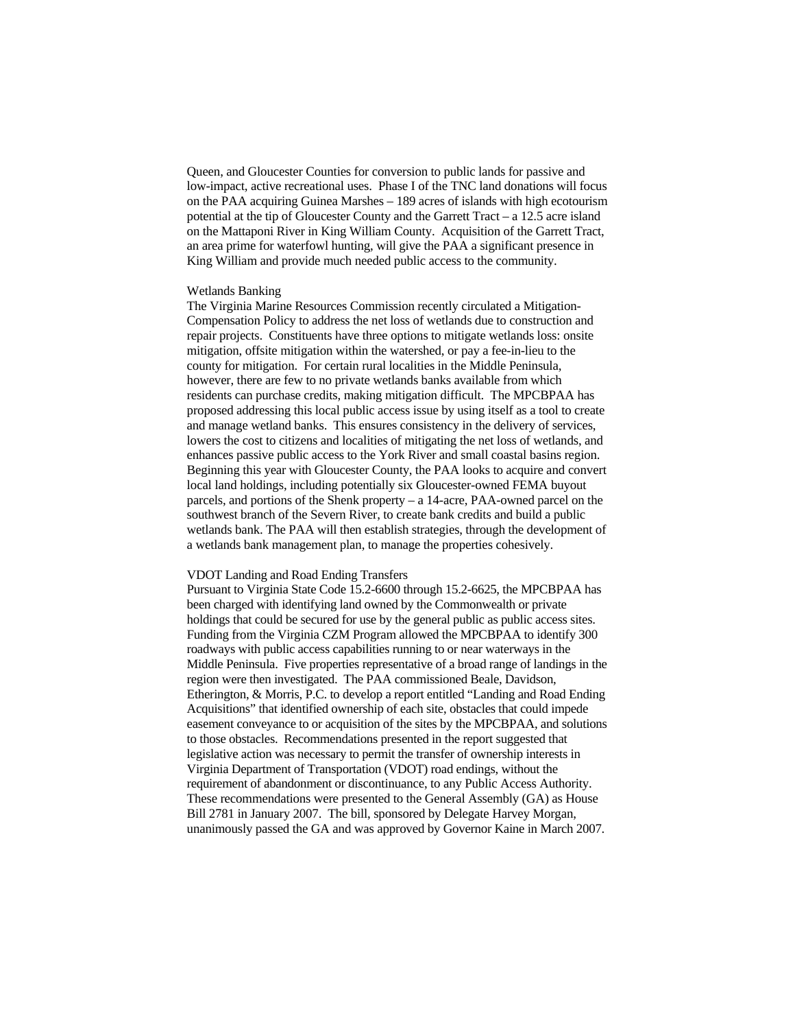Queen, and Gloucester Counties for conversion to public lands for passive and low-impact, active recreational uses. Phase I of the TNC land donations will focus on the PAA acquiring Guinea Marshes – 189 acres of islands with high ecotourism potential at the tip of Gloucester County and the Garrett Tract – a 12.5 acre island on the Mattaponi River in King William County. Acquisition of the Garrett Tract, an area prime for waterfowl hunting, will give the PAA a significant presence in King William and provide much needed public access to the community.

## Wetlands Banking

The Virginia Marine Resources Commission recently circulated a Mitigation-Compensation Policy to address the net loss of wetlands due to construction and repair projects. Constituents have three options to mitigate wetlands loss: onsite mitigation, offsite mitigation within the watershed, or pay a fee-in-lieu to the county for mitigation. For certain rural localities in the Middle Peninsula, however, there are few to no private wetlands banks available from which residents can purchase credits, making mitigation difficult. The MPCBPAA has proposed addressing this local public access issue by using itself as a tool to create and manage wetland banks. This ensures consistency in the delivery of services, lowers the cost to citizens and localities of mitigating the net loss of wetlands, and enhances passive public access to the York River and small coastal basins region. Beginning this year with Gloucester County, the PAA looks to acquire and convert local land holdings, including potentially six Gloucester-owned FEMA buyout parcels, and portions of the Shenk property – a 14-acre, PAA-owned parcel on the southwest branch of the Severn River, to create bank credits and build a public wetlands bank. The PAA will then establish strategies, through the development of a wetlands bank management plan, to manage the properties cohesively.

#### VDOT Landing and Road Ending Transfers

Pursuant to Virginia State Code 15.2-6600 through 15.2-6625, the MPCBPAA has been charged with identifying land owned by the Commonwealth or private holdings that could be secured for use by the general public as public access sites. Funding from the Virginia CZM Program allowed the MPCBPAA to identify 300 roadways with public access capabilities running to or near waterways in the Middle Peninsula. Five properties representative of a broad range of landings in the region were then investigated. The PAA commissioned Beale, Davidson, Etherington, & Morris, P.C. to develop a report entitled "Landing and Road Ending Acquisitions" that identified ownership of each site, obstacles that could impede easement conveyance to or acquisition of the sites by the MPCBPAA, and solutions to those obstacles. Recommendations presented in the report suggested that legislative action was necessary to permit the transfer of ownership interests in Virginia Department of Transportation (VDOT) road endings, without the requirement of abandonment or discontinuance, to any Public Access Authority. These recommendations were presented to the General Assembly (GA) as House Bill 2781 in January 2007. The bill, sponsored by Delegate Harvey Morgan, unanimously passed the GA and was approved by Governor Kaine in March 2007.